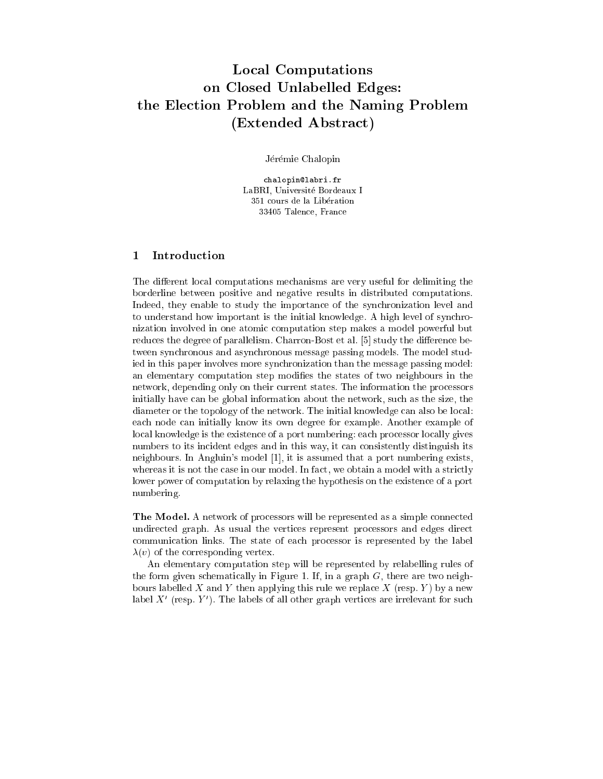# Lo
al Computations on Closed Unlabelled Edges: the Ele
tion Problem and the Naming Problem (Extended Abstract)

Jérémie Chalopin

chalopin@labri.fr LaBRI, Université Bordeaux I 351 ours de la Liberation 33405 Talen
e, Fran
e

#### $\mathbf{1}$ **Introduction**

The different local computations mechanisms are very useful for delimiting the borderline between positive and negative results in distributed omputations. Indeed, they enable to study the importan
e of the syn
hronization level and to understand how important is the initial knowledge. A high level of syn
hronization involved in one atomic computation step makes a model powerful but reduces the degree of parallelism. Charron-Bost et al. [5] study the difference between syn
hronous and asyn
hronous message passing models. The model studied in this paper involves more synchronization than the message passing model: an elementary omputation step modies the states of two neighbours in the network, depending only on their urrent states. The information the pro
essors initially have can be global information about the network, such as the size, the diameter or the topology of the network. The initial knowledge can also be local: each node can initially know its own degree for example. Another example of local knowledge is the existence of a port numbering: each processor locally gives numbers to its incident edges and in this way, it can consistently distinguish its neighbours. In Angluin's model  $[1]$ , it is assumed that a port numbering exists, whereas it is not the case in our model. In fact, we obtain a model with a strictly lower power of computation by relaxing the hypothesis on the existence of a port numbering.

The Model. A network of pro
essors will be represented as a simple onne
ted undirected graph. As usual the vertices represent processors and edges direct communication links. The state of each processor is represented by the label  $\lambda(v)$  of the corresponding vertex.

An elementary omputation step will be represented by relabelling rules of the form given schematically in Figure 1. If, in a graph  $G$ , there are two neighbours labelled X and Y then applying this rule we replace  $X$  (resp. Y) by a new label  $\Lambda$  (resp.  $Y$  ). The labels of all other graph vertices are irrelevant for such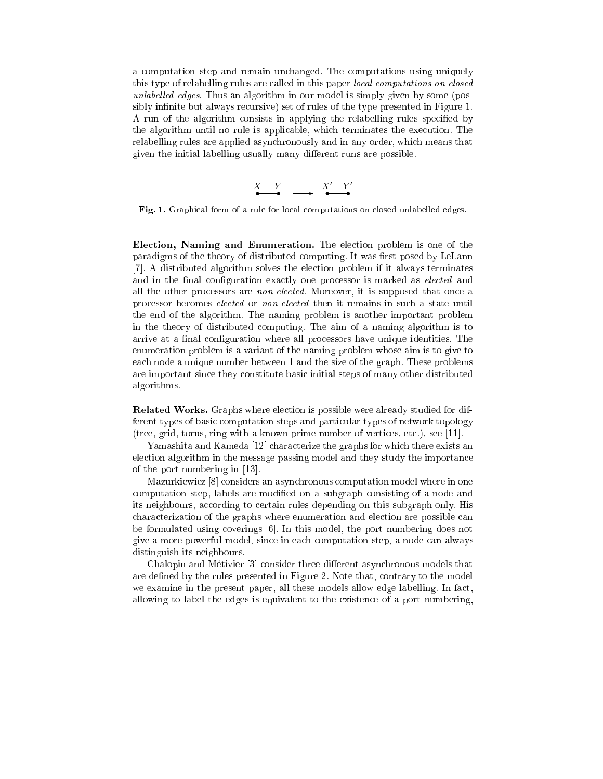a omputation step and remain un
hanged. The omputations using uniquely this type of relabelling rules are called in this paper *local computations on closed* unlabel led edges. Thus an algorithm in our model is simply given by some (possibly infinite but always recursive) set of rules of the type presented in Figure 1. A run of the algorithm consists in applying the relabelling rules specified by the algorithm until no rule is applicable, which terminates the execution. The relabelling rules are applied asynchronously and in any order, which means that given the initial labelling usually many different runs are possible.

$$
\overset{X}{\bullet} \overset{Y}{\bullet} \overset{Y}{\bullet} \overset{X'}{\bullet} \overset{Y'}{\bullet}
$$

Fig. 1. Graphi
al form of a rule for lo
al omputations on losed unlabelled edges.

Ele
tion, Naming and Enumeration. The ele
tion problem is one of the paradigms of the theory of distributed computing. It was first posed by LeLann [7]. A distributed algorithm solves the election problem if it always terminates and in the final configuration exactly one processor is marked as *elected* and all the other processors are *non-elected*. Moreover, it is supposed that once a pro
essor be
omes ele
ted or non-ele
ted then it remains in su
h a state until the end of the algorithm. The naming problem is another important problem in the theory of distributed omputing. The aim of a naming algorithm is to arrive at a final configuration where all processors have unique identities. The enumeration problem is a variant of the naming problem whose aim is to give to ea
h node a unique number between 1 and the size of the graph. These problems are important sin
e they onstitute basi initial steps of many other distributed algorithms.

Related Works. Graphs where ele
tion is possible were already studied for different types of basic computation steps and particular types of network topology  $($ tree, grid, torus, ring with a known prime number of vertices, etc.), see [11].

Yamashita and Kameda [12] characterize the graphs for which there exists an ele
tion algorithm in the message passing model and they study the importan
e of the port numbering in  $[13]$ .

Mazurkiewicz [8] considers an asynchronous computation model where in one omputation step, labels are modied on a subgraph onsisting of a node and its neighbours, according to certain rules depending on this subgraph only. His characterization of the graphs where enumeration and election are possible can be formulated using coverings [6]. In this model, the port numbering does not give a more powerful model, sin
e in ea
h omputation step, a node an always distinguish its neighbours.

Chalopin and Métivier [3] consider three different asynchronous models that are defined by the rules presented in Figure 2. Note that, contrary to the model we examine in the present paper, all these models allow edge labelling. In fact, allowing to label the edges is equivalent to the existen
e of a port numbering,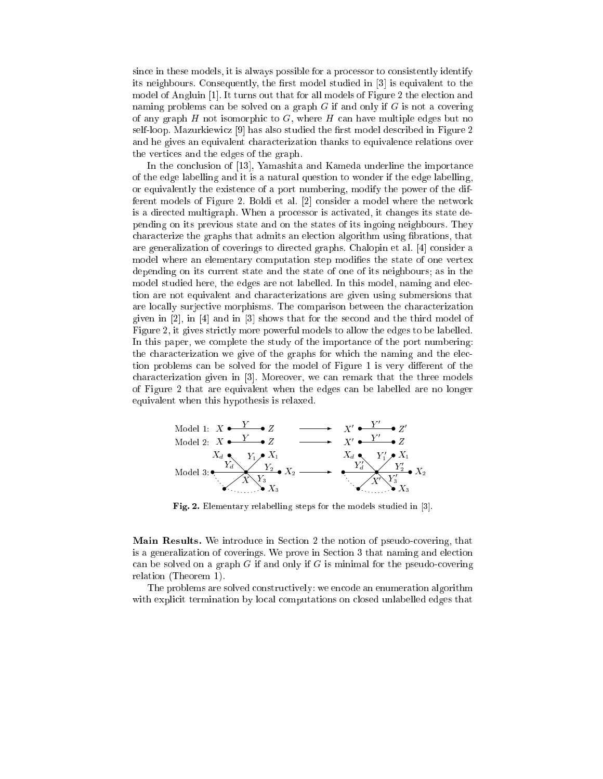since in these models, it is always possible for a processor to consistently identify its neighbours. Consequently, the first model studied in  $[3]$  is equivalent to the model of Angluin [1]. It turns out that for all models of Figure 2 the election and naming problems can be solved on a graph  $G$  if and only if  $G$  is not a covering of any graph  $H$  not isomorphic to  $G$ , where  $H$  can have multiple edges but no self-loop. Mazurkiewicz [9] has also studied the first model described in Figure 2 and he gives an equivalent hara
terization thanks to equivalen
e relations over the verti
es and the edges of the graph.

In the conclusion of [13], Yamashita and Kameda underline the importance of the edge labelling and it is a natural question to wonder if the edge labelling, or equivalently the existen
e of a port numbering, modify the power of the different models of Figure 2. Boldi et al.  $[2]$  consider a model where the network is a dire
ted multigraph. When a pro
essor is a
tivated, it hanges its state depending on its previous state and on the states of its ingoing neighbours. They characterize the graphs that admits an election algorithm using fibrations, that are generalization of coverings to directed graphs. Chalopin et al. [4] consider a model where an elementary computation step modifies the state of one vertex depending on its urrent state and the state of one of its neighbours; as in the model studied here, the edges are not labelled. In this model, naming and election are not equivalent and hara
terizations are given using submersions that are locally surjective morphisms. The comparison between the characterization given in  $[2]$ , in  $[4]$  and in  $[3]$  shows that for the second and the third model of Figure 2, it gives strictly more powerful models to allow the edges to be labelled. In this paper, we complete the study of the importance of the port numbering: the characterization we give of the graphs for which the naming and the election problems can be solved for the model of Figure 1 is very different of the characterization given in [3]. Moreover, we can remark that the three models of Figure 2 that are equivalent when the edges an be labelled are no longer equivalent when this hypothesis is relaxed.



Fig. 2. Elementary relabelling steps for the models studied in [3℄.

e in Section 2 the notion of the notion of the notion of pseudo-that is the notion of the notion of the notion is a generalization of overings. We prove in Se
tion 3 that naming and ele
tion can be solved on a graph  $G$  if and only if  $G$  is minimal for the pseudo-covering relation (Theorem 1).

The problems are solved constructively: we encode an enumeration algorithm with explicit termination by local computations on closed unlabelled edges that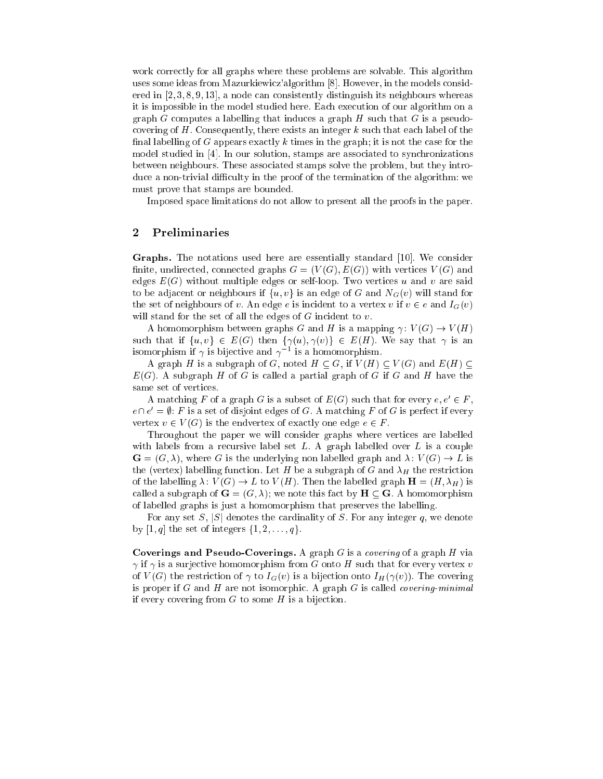work orre
tly for all graphs where these problems are solvable. This algorithm uses some ideas from Mazurkiewicz'algorithm [8]. However, in the models considered in  $[2, 3, 8, 9, 13]$ , a node can consistently distinguish its neighbours whereas it is impossible in the model studied here. Each execution of our algorithm on a graph  $G$  computes a labelling that induces a graph  $H$  such that  $G$  is a pseudocovering of  $H$ . Consequently, there exists an integer  $k$  such that each label of the final labelling of G appears exactly k times in the graph; it is not the case for the model studied in [4]. In our solution, stamps are associated to synchronizations between neighbours. These asso
iated stamps solve the problem, but they introduce a non-trivial difficulty in the proof of the termination of the algorithm: we must prove that stamps are bounded.

Imposed spa
e limitations do not allow to present all the proofs in the paper.

## 2 Preliminaries

Graphs. The notations used here are essentially standard [10℄. We onsider finite, undirected, connected graphs  $G = (V(G), E(G))$  with vertices  $V(G)$  and edges  $E(G)$  without multiple edges or self-loop. Two vertices u and v are said to be adjacent or neighbours if  $\{u, v\}$  is an edge of G and  $N_G(v)$  will stand for the set of neighbours of v. An edge e is incident to a vertex v if  $v \in e$  and  $I_G(v)$ will stand for the set of all the edges of  $G$  incident to  $v$ .

A homomorphism between graphs G and H is a mapping  $\gamma: V(G) \to V(H)$ such that if  $\{u, v\} \in E(G)$  then  $\{\gamma(u), \gamma(v)\} \in E(H)$ . We say that  $\gamma$  is an isomorphism if  $\gamma$  is bijective and  $\gamma$  – is a homomorphism.

A graph H is a subgraph of G, noted  $H \subseteq G$ , if  $V(H) \subseteq V(G)$  and  $E(H) \subseteq V(G)$  $E(G)$ . A subgraph H of G is called a partial graph of G if G and H have the same set of verti
es.

A mateming  $F$  of a graph G is a subset of  $E(G)$  such that for every  $e, e \in F$ ,  $e \cap e \equiv y$ : F is a set of disjoint edges of G. A matching F of G is perfect if every vertex  $v \in V(G)$  is the endvertex of exactly one edge  $e \in F$ .

Throughout the paper we will onsider graphs where verti
es are labelled with labels from a recursive label set  $L$ . A graph labelled over  $L$  is a couple  $\mathcal{G} = \{G_i\}$  , where  $G$  is the underlying non-distribution  $\mathcal{G}$  and  $\mathcal{G}$  is the underlying  $\mathcal{G}$ the (vertex) labelling function. Let H be a subgraph of G and  $\lambda_H$  the restriction of the labelling  $\lambda: V(G) \to L$  to  $V(H)$ . Then the labelled graph  $\mathbf{H} = (H, \lambda_H)$  is called a subgraph of  $\mathbf{G} = (G, \lambda)$ ; we note this fact by  $\mathbf{H} \subset \mathbf{G}$ . A homomorphism of labelled graphs is just a homomorphism that preserves the labelling.

For any set S, |S| denotes the cardinality of S. For any integer q, we denote by [1, q] the set of integers  $\{1, 2, \ldots, q\}$ .

over the Pseudo-Coverings. A graph G is a graph H via graph H via  $\gamma$  if  $\gamma$  is a surjective homomorphism from G onto H such that for every vertex v of  $V(G)$  the restriction of  $\gamma$  to  $I_G(v)$  is a bijection onto  $I_H(\gamma(v))$ . The covering is proper if  $G$  and  $H$  are not isomorphic. A graph  $G$  is called *covering-minimal* if every covering from  $G$  to some  $H$  is a bijection.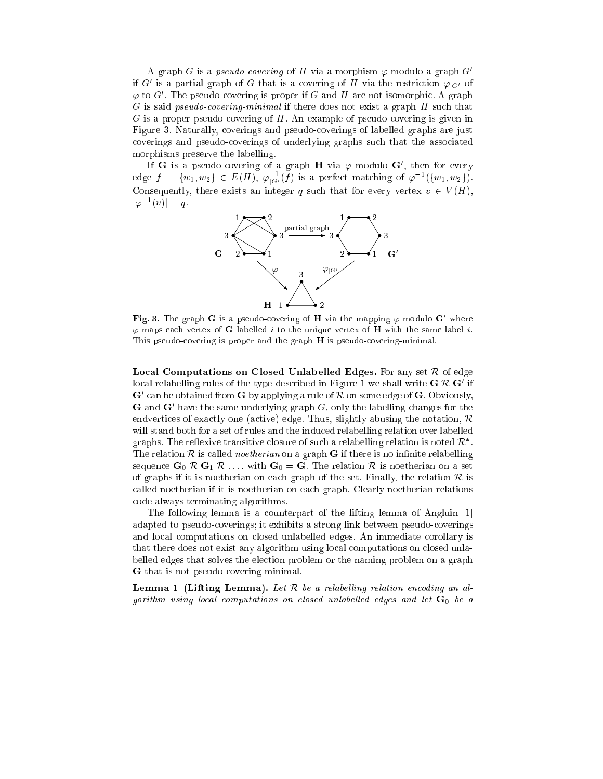A graph G is a *pseudo-covering* of H via a morphism  $\varphi$  modulo a graph G' if G<sup>o</sup> is a partial graph of G that is a covering of H via the restriction  $\varphi_{|G^{\,\prime}}$  of  $\varphi$  to G . The pseudo-covering is proper if G and H are not isomorphic. A graph  $G$  is said *pseudo-covering-minimal* if there does not exist a graph  $H$  such that  $G$  is a proper pseudo-covering of  $H$ . An example of pseudo-covering is given in Figure 3. Naturally, overings and pseudooverings of labelled graphs are just overings and pseudooverings of underlying graphs su
h that the asso
iated morphisms preserve the labelling.

If G is a pseudo-covering of a graph  $\bf H$  via  $\varphi$  modulo G;, then for every edge  $f = \{w_1, w_2\} \in E(H)$ ,  $\varphi_{|G'}(f)$  is a perfect matching of  $\varphi^{-1}(\{w_1, w_2\}).$ Consequently, there exists an integer q such that for every vertex  $v \in V(H)$ ,  $|\varphi^{-1}(v)| = q.$ 



**Fig. 3.** The graph G is a pseudo-covering of H via the mapping  $\varphi$  modulo G where  $\varphi$  maps each vertex of **G** labelled i to the unique vertex of **H** with the same label i. This pseudo-covering is proper and the graph **H** is pseudo-covering-minimal.

Lo
al Computations on Closed Unlabelled Edges. For any set <sup>R</sup> of edge focal relabelling rules of the type described in Figure 1 we shall write  $\bf G$   $\kappa$   $\bf G$  if G can be obtained from G by applying a rule of  $\kappa$  on some edge of G. Obviously,  $G$  and  $G$  have the same underlying graph  $G$ , only the labelling changes for the endvertices of exactly one (active) edge. Thus, slightly abusing the notation,  $\mathcal{R}$ will stand both for a set of rules and the indu
ed relabelling relation over labelled graphs. The renexive transitive closure of such a relabelling relation is noted  $\kappa$  . The relation  $R$  is called *noetherian* on a graph **G** if there is no infinite relabelling e God access to God R is the relation of the relation and the relationship and complete the set of the relation of graphs if it is noetherian on each graph of the set. Finally, the relation  $R$  is alled noetherian if it is noetherian on ea
h graph. Clearly noetherian relations ode always terminating algorithms.

The following lemma is a counterpart of the lifting lemma of Angluin [1] adapted to pseudooverings; it exhibits a strong link between pseudooverings and local computations on closed unlabelled edges. An immediate corollary is that there does not exist any algorithm using local computations on closed unlabelled edges that solves the ele
tion problem or the naming problem on a graph G that is not pseudoovering-minimal.

Lemma <sup>1</sup> (Lifting Lemma). Let <sup>R</sup> be <sup>a</sup> relabel ling relation en
oding an algorithm using lo
al omputations on losed unlabel led edges and let G0 be <sup>a</sup>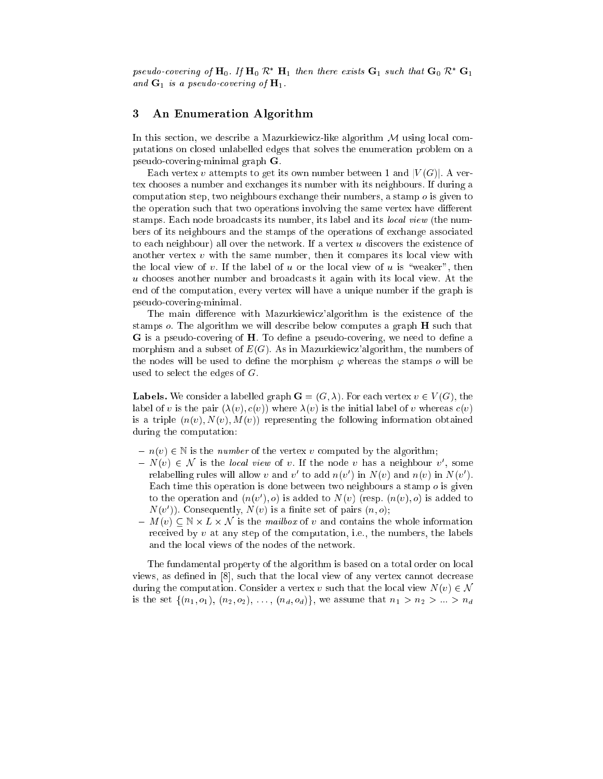pseudo-covering of  $\mathbf{H}_0$ . If  $\mathbf{H}_0$  K  $\mathbf{H}_1$  then there exists  $\mathbf{G}_1$  such that  $\mathbf{G}_0$  K  $\mathbf{G}_1$ and G1 is a pseudo-court of H1.

### 3 An Enumeration Algorithm

In this section, we describe a Mazurkiewicz-like algorithm  $\mathcal M$  using local computations on losed unlabelled edges that solves the enumeration problem on a pseudoovering-minimal graph G.

Each vertex v attempts to get its own number between 1 and  $|V(G)|$ . A vertex hooses a number and ex
hanges its number with its neighbours. If during a computation step, two neighbours exchange their numbers, a stamp  $\sigma$  is given to the operation such that two operations involving the same vertex have different stamps. Each node broadcasts its number, its label and its *local view* (the numbers of its neighbours and the stamps of the operations of ex
hange asso
iated to each neighbour) all over the network. If a vertex u discovers the existence of another vertex  $v$  with the same number, then it compares its local view with the local view of v. If the label of u or the local view of u is "weaker", then u chooses another number and broadcasts it again with its local view. At the end of the omputation, every vertex will have a unique number if the graph is pseudoovering-minimal.

The main difference with Mazurkiewicz'algorithm is the existence of the stamps  $o$ . The algorithm we will describe below computes a graph  $\bf{H}$  such that G is a pseudoovering of H. To dene a pseudoovering, we need to dene a morphism and a subset of  $E(G)$ . As in Mazurkiewicz'algorithm, the numbers of the nodes will be used to define the morphism  $\varphi$  whereas the stamps o will be used to select the edges of  $G$ .

Labels. We onsider a labelled graph <sup>G</sup> = (G; ). For ea
h vertex <sup>v</sup> <sup>2</sup> <sup>V</sup> (G), the label of v is the pair  $(\lambda(v), c(v))$  where  $\lambda(v)$  is the initial label of v whereas  $c(v)$ is a triple  $(n(v), N(v), M(v))$  representing the following information obtained during the omputation:

- $\mathcal{L}(\mathcal{A})$  . 2 N is the number of the vertex v the algorithm; algorithm; algorithm;
- $N(v)$   $\in$   $N$  is the *local view* of v. If the hode v has a neighbour v, some relabelling rules will allow v and v to add  $n(v)$  in  $N(v)$  and  $n(v)$  in  $N(v)$ . Each time this operation is done between two neighbours a stamp  $o$  is given to the operation and  $(n(v), o)$  is added to  $N(v)$  (resp.  $(n(v), o)$  is added to  $N(v)$ ). Consequently,  $N(v)$  is a finite set of pairs  $(n, o)$ ;
- $\mathcal{M}(\mathcal{M})$  is the main  $\mathcal{M}(\mathcal{M})$  of variable information the whole information the whole information received by v at any step of the computation, i.e., the numbers, the labels and the lo
al views of the nodes of the network.

The fundamental property of the algorithm is based on a total order on local views, as defined in  $[8]$ , such that the local view of any vertex cannot decrease during the computation. Consider a vertex v such that the local view  $N(v) \in \mathcal{N}$ is the set  $\{(n_1, o_1), (n_2, o_2), \ldots, (n_d, o_d)\}\)$ , we assume that  $n_1 > n_2 > \ldots > n_d$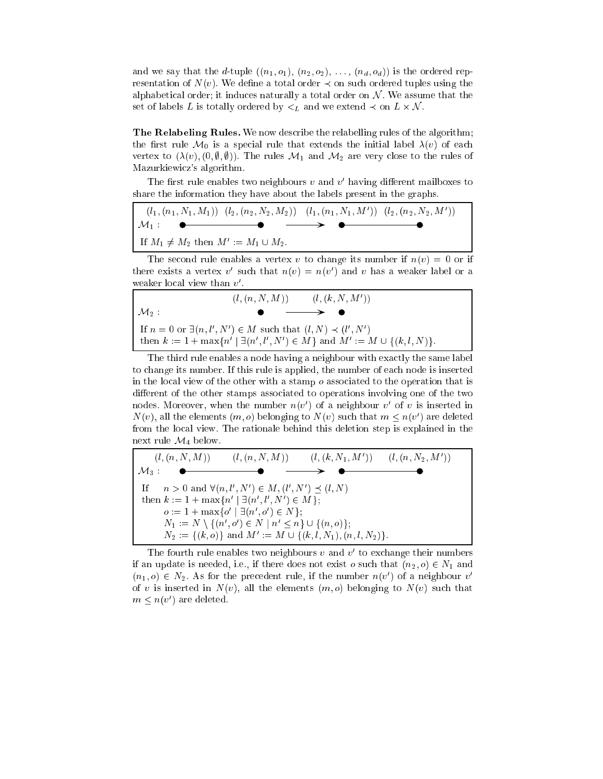and we say that the d-tuple  $((n_1, o_1), (n_2, o_2), \ldots, (n_d, o_d))$  is the ordered representation of  $N(v)$ . We define a total order  $\prec$  on such ordered tuples using the alphabetical order; it induces naturally a total order on  $\mathcal N$ . We assume that the set of labels L is to the labels of  $\mathcal{L}_i$  , we extend the contribution of  $\mathcal{L}_i$  and  $\mathcal{L}_i$ 

The Relabeling Rules. We now des
ribe the relabelling rules of the algorithm; the most rule  $\alpha$  ,  $\alpha$  is a specific the initial label (most continue the initial label (v) of each  $\alpha$  is to the rules  $\alpha$  ,  $\alpha$  ,  $\alpha$  ,  $\alpha$  is the rules of  $\alpha$  and  $\alpha$  and  $\alpha$  is the rules of  $\alpha$  and  $\alpha$  and  $\alpha$ Mazurkiewi
z's algorithm.

The first rule enables two neighbours v and v  $\alpha$  having different mailboxes to share the information they have about the labels present in the graphs.

| $(l_1,(n_1,N_1,M_1))$ $(l_2,(n_2,N_2,M_2))$ $(l_1,(n_1,N_1,M'))$ $(l_2,(n_2,N_2,M'))$ |  |
|---------------------------------------------------------------------------------------|--|
| $\mathcal{M}_1:$ $\bullet$ $\longrightarrow$ $\bullet$ $\longrightarrow$ $\bullet$    |  |
| If $M_1 \neq M_2$ then $M' := M_1 \cup M_2$ .                                         |  |

The second rule enables a vertex v to change its number if  $n(v) = 0$  or if there exists a vertex v such that  $n(v) = n(v)$  and v has a weaker label or a weaker local view than  $v$ 

|                                                                                           | (l, (n, N, M)) | (l, (k, N, M')) |  |  |
|-------------------------------------------------------------------------------------------|----------------|-----------------|--|--|
| $\mathcal{M}_2$                                                                           |                |                 |  |  |
| If $n = 0$ or $\exists (n, l', N') \in M$ such that $(l, N) \prec (l', N')$               |                |                 |  |  |
| then $k := 1 + \max\{n'   \exists (n', l', N') \in M\}$ and $M' := M \cup \{(k, l, N)\}.$ |                |                 |  |  |

The third rule enables a node having a neighbour with exactly the same label to hange its number. If this rule is applied, the number of ea
h node is inserted in the lo
al view of the other with a stamp <sup>o</sup> asso
iated to the operation that is different of the other stamps associated to operations involving one of the two hodes. Moreover, when the number  $n(v|_U)$  of a neighbour  $v$  of  $v$  is inserted in *i* (*v*), an the elements (*m*, *o*) belonging to *i* (*v*) such that  $m \leq n(v)$  are deleted from the lo
al view. The rationale behind this deletion step is explained in the next rule means a below of the material control of the second control of the second control of the second control of the second control of the second control of the second control of the second control of the second contro

|                                                             |                                                                         | $(l, (n, N, M))$ $(l, (n, N, M))$ $(l, (k, N_1, M'))$ $(l, (n, N_2, M'))$ |  |
|-------------------------------------------------------------|-------------------------------------------------------------------------|---------------------------------------------------------------------------|--|
| $\mathcal{M}$ <sub>3</sub> :                                |                                                                         |                                                                           |  |
|                                                             | $n > 0$ and $\forall (n, l', N') \in M$ , $(l', N') \prec (l, N)$       |                                                                           |  |
| then $k := 1 + \max\{n' \mid \exists (n', l', N') \in M\};$ |                                                                         |                                                                           |  |
|                                                             | $o := 1 + \max\{o' \mid \exists (n', o') \in N\};$                      |                                                                           |  |
|                                                             | $N_1 := N \setminus \{(n', o') \in N \mid n' \leq n\} \cup \{(n, o)\};$ |                                                                           |  |
|                                                             |                                                                         | $N_2 := \{(k, o)\}\$ and $M' := M \cup \{(k, l, N_1), (n, l, N_2)\}\$ .   |  |

I he fourth rule enables two heighbours  $v$  and  $v$  to exchange their numbers if an update is needed, i.e., if there does not exist <sup>o</sup> su
h that (n2; o) <sup>2</sup> N1 and  $(n_1, o) \in N_2$ . As for the precedent rule, if the number  $n(v)$  of a neighbour v of v is inserted in  $N(v)$ , all the elements  $(m, o)$  belonging to  $N(v)$  such that  $m \leq n(v)$  are deleted.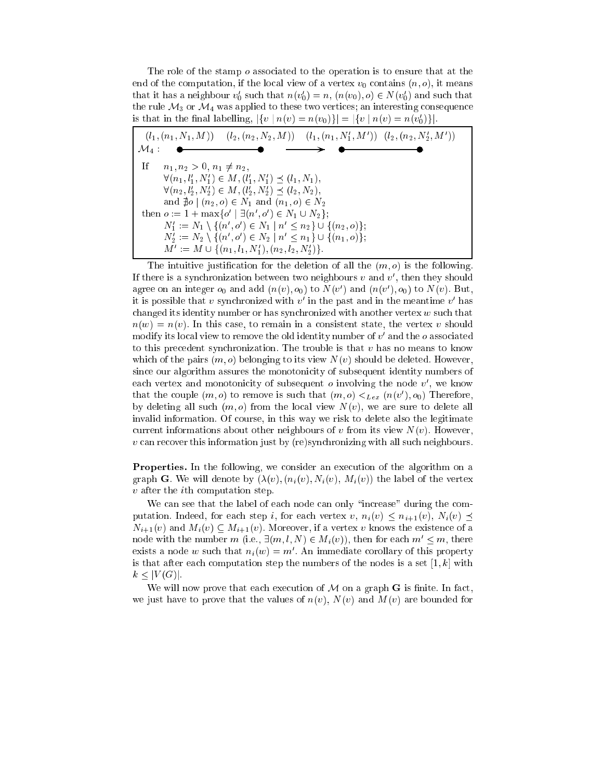The role of the stamp o associated to the operation is to ensure that at the end of the computation, if the local view of a vertex control  $\sigma$  computer (n; o), it measures that it has a neighbour  $v_0$  such that  $n(v_0) = n$ ,  $(n(v_0), o) \in N(v_0)$  and such that the rule M3 or M4 was applied to these two verti
es; an interesting onsequen
e is that in the final labelling,  $|\{v \mid n(v) = n(v_0)\}| = |\{v \mid n(v) = n(v_0)\}|$ .

| $(l_1,(n_1,N_1,M))$ $(l_2,(n_2,N_2,M))$ $(l_1,(n_1,N'_1,M'))$ $(l_2,(n_2,N'_2,M'))$ |  |
|-------------------------------------------------------------------------------------|--|
| $\mathcal{M}_4$                                                                     |  |
| Τf<br>$n_1, n_2 > 0, n_1 \neq n_2,$                                                 |  |
| $\forall (n_1, l'_1, N'_1) \in M, (l'_1, N'_1) \preceq (l_1, N_1),$                 |  |
| $\forall (n_2, l'_2, N'_2) \in M, (l'_2, N'_2) \preceq (l_2, N_2),$                 |  |
| and $\nexists o \mid (n_2, o) \in N_1$ and $(n_1, o) \in N_2$                       |  |
| then $o := 1 + \max\{o' \mid \exists (n', o') \in N_1 \cup N_2\};$                  |  |
| $N'_1 := N_1 \setminus \{(n', o') \in N_1 \mid n' \leq n_2\} \cup \{(n_2, o)\};$    |  |
| $N'_2 := N_2 \setminus \{(n', o') \in N_2 \mid n' \leq n_1\} \cup \{(n_1, o)\};$    |  |
| $M' := M \cup \{(n_1, l_1, N'_1), (n_2, l_2, N'_2)\}.$                              |  |

The intuitive justification for the deletion of all the  $(m, o)$  is the following. If there is a synchronization between two neighbours  $v$  and  $v$  , then they should agree on an integer  $o_0$  and add  $(n(v), o_0)$  to  $N(v)$  and  $(n(v), o_0)$  to  $N(v)$ . But, it is possible that  $v$  synchronized with  $v$  -in the past and in the meantime  $v$  -has changed its identity number or has synchronized with another vertex  $w$  such that  $n(w) = n(v)$ . In this case, to remain in a consistent state, the vertex v should modify its local view to remove the old identity number of  $v$  and the  $o$  associated to this precedent synchronization. The trouble is that  $v$  has no means to know which of the pairs  $(m, o)$  belonging to its view  $N(v)$  should be deleted. However, since our algorithm assures the monotonicity of subsequent identity numbers of each vertex and monotonicity of subsequent  $o$  involving the node  $v$  , we know that the couple  $(m, o)$  to remove is such that  $(m, o) \leq_{Lex} (n(v), o_0)$  Therefore, by deleting all such  $(m, o)$  from the local view  $N(v)$ , we are sure to delete all invalid information. Of ourse, in this way we risk to delete also the legitimate current informations about other neighbours of v from its view  $N(v)$ . However, v can recover this information just by (re)synchronizing with all such neighbours.

Properties. In the following, we onsider an exe
ution of the algorithm on a graph G. We will denote by  $(\lambda(v), (n_i(v), N_i(v), M_i(v))$  the label of the vertex <sup>v</sup> after the ith omputation step.

We can see that the label of each node can only "increase" during the computation. Indeed, for each step i, for each vertex v,  $n_i(v) \leq n_{i+1}(v)$ ,  $N_i(v) \leq$  $N_{i+1}(v)$  and  $M_i(v) \subset M_{i+1}(v)$ . Moreover, if a vertex v knows the existence of a node with the number m (i.e.,  $\exists (m, l, N) \in M_i(v)$ ), then for each  $m' \leq m$ , there exists a node w such that  $n_i(w) = m$  . An immediate corollary of this property is that after each computation step the numbers of the nodes is a set  $[1, k]$  with  $k \leq |V(G)|$ .

We will now prove that each execution of  $M$  on a graph  $G$  is finite. In fact, we just have to prove that the values of  $n(v)$ ,  $N(v)$  and  $M(v)$  are bounded for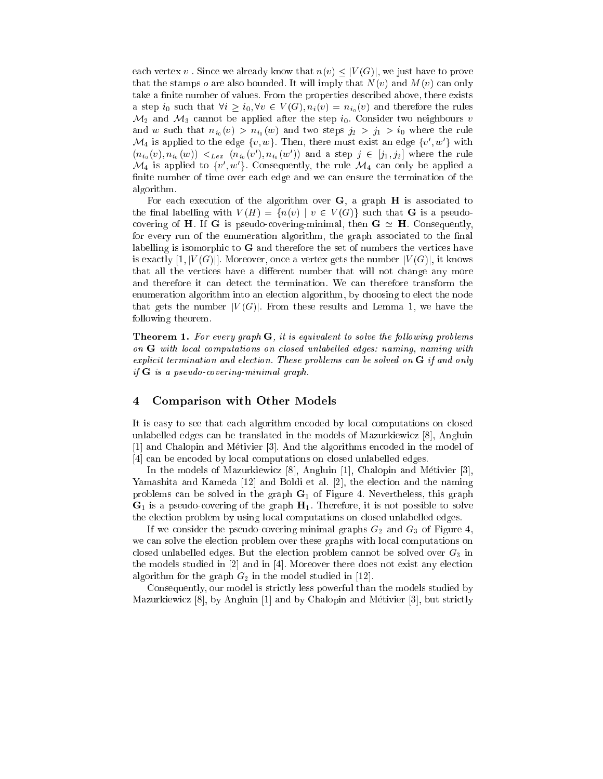each vertex v. Since we already know that  $n(v) \leq |V(G)|$ , we just have to prove that the stamps o are also bounded. It will imply that  $N(v)$  and  $M(v)$  can only take a finite number of values. From the properties described above, there exists a step in such that  $\alpha \equiv 0;$  ,  $\alpha \in \mathcal{N}(0,1)$  and  $\alpha \in \mathcal{N}(0,1)$  and the rules there is no such M2 and M3 annot be applied after the step i0. Consider two neighbours <sup>v</sup> and w such that  $n_{i_0}(v) > n_{i_0}(w)$  and two steps  $j_2 > j_1 > i_0$  where the rule  $\mathcal{M}_4$  is applied to the edge  $\{v,w\}$ . Then, there must exist an edge  $\{v\;,w\;\}$  with  $(n_{i_0}(v),n_{i_0}(w)) \leq L_{ex}$   $(n_{i_0}(v),n_{i_0}(w))$  and a step  $j \in [j_1,j_2]$  where the rule  $\mathcal{M}_4$  is applied to  $\{v\}, w$  }. Consequently, the rule  $\mathcal{M}_4$  can only be applied a finite number of time over each edge and we can ensure the termination of the algorithm.

For each execution of the algorithm over  $\bf{G}$ , a graph  $\bf{H}$  is associated to the final labelling with  $V(H) = \{n(v) | v \in V(G)\}\$  such that G is a pseudocovering of H. If G is pseudo-covering-minimal, then  $G \simeq H$ . Consequently, for every run of the enumeration algorithm, the graph associated to the final labelling is isomorphic to  $G$  and therefore the set of numbers the vertices have is exactly  $[1, |V(G)|]$ . Moreover, once a vertex gets the number  $|V(G)|$ , it knows that all the vertices have a different number that will not change any more and therefore it can detect the termination. We can therefore transform the enumeration algorithm into an election algorithm, by choosing to elect the node that gets the number  $|V(G)|$ . From these results and Lemma 1, we have the following theorem.

Theorem 1. For every graph G, it is equivalent to solve the fol lowing problems on a ministrations on the ministers of the state ministers and part iterations of the state of the state of th expli
it termination and ele
tion. These problems an be solved on <sup>G</sup> if and only if <sup>G</sup> is <sup>a</sup> pseudoovering-minimal graph.

#### 4 Comparison with Other Models

It is easy to see that each algorithm encoded by local computations on closed unlabelled edges can be translated in the models of Mazurkiewicz [8], Angluin [1] and Chalopin and Métivier [3]. And the algorithms encoded in the model of [4] can be encoded by local computations on closed unlabelled edges.

In the models of Mazurkiewicz [8], Angluin [1], Chalopin and Métivier [3], Yamashita and Kameda  $[12]$  and Boldi et al.  $[2]$ , the election and the naming problems and the graph cases  $\Delta$ -uppertheless, the graph G1 of the graph  $\Delta$ -upper over is a pseudo-covered of the Graph HI. Have it is not possible to solve to solve the election problem by using local computations on closed unlabelled edges.

If we onsider the pseudoovering-minimal graphs G2 and G3 of Figure 4, we can solve the election problem over these graphs with local computations on losed unlabelled edges. But the ele
tion problem annot be solved over G3 in the models studied in  $[2]$  and in  $[4]$ . Moreover there does not exist any election algorithm for the graph G2 in the model studied in  $[12]$ .

Consequently, our model is strictly less powerful than the models studied by Mazurkiewicz [8], by Angluin [1] and by Chalopin and Métivier [3], but strictly